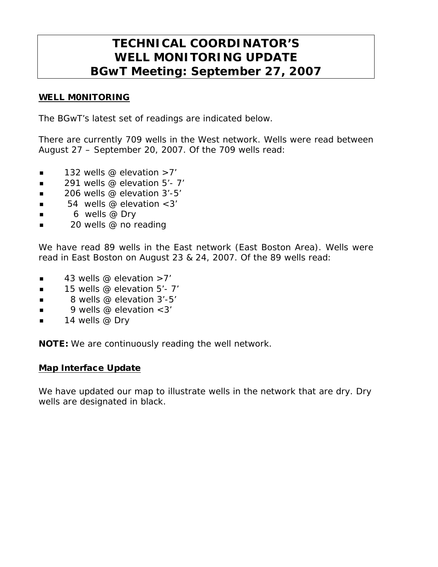# **TECHNICAL COORDINATOR'S WELL MONITORING UPDATE BGwT Meeting: September 27, 2007**

### WELL M0NITORING

The BGwT's latest set of readings are indicated below.

There are currently 709 wells in the West network. Wells were read between August 27 – September 20, 2007. Of the 709 wells read:

- $\blacksquare$  132 wells @ elevation >7'
- $\blacksquare$  291 wells @ elevation 5'-7'
- $\blacksquare$  206 wells @ elevation 3'-5'
- 54 wells @ elevation <3'
- $\blacksquare$  6 wells @ Dry
- 20 wells @ no reading

We have read 89 wells in the East network (East Boston Area). Wells were read in East Boston on August 23 & 24, 2007. Of the 89 wells read:

- $\blacksquare$  43 wells @ elevation >7'
- $\blacksquare$  15 wells @ elevation 5'- 7'
- $\blacksquare$  8 wells @ elevation 3'-5'
- 9 wells @ elevation <3'
- $\blacksquare$  14 wells @ Dry

NOTE: We are continuously reading the well network.

#### Map Interface Update

We have updated our map to illustrate wells in the network that are dry. Dry wells are designated in black.